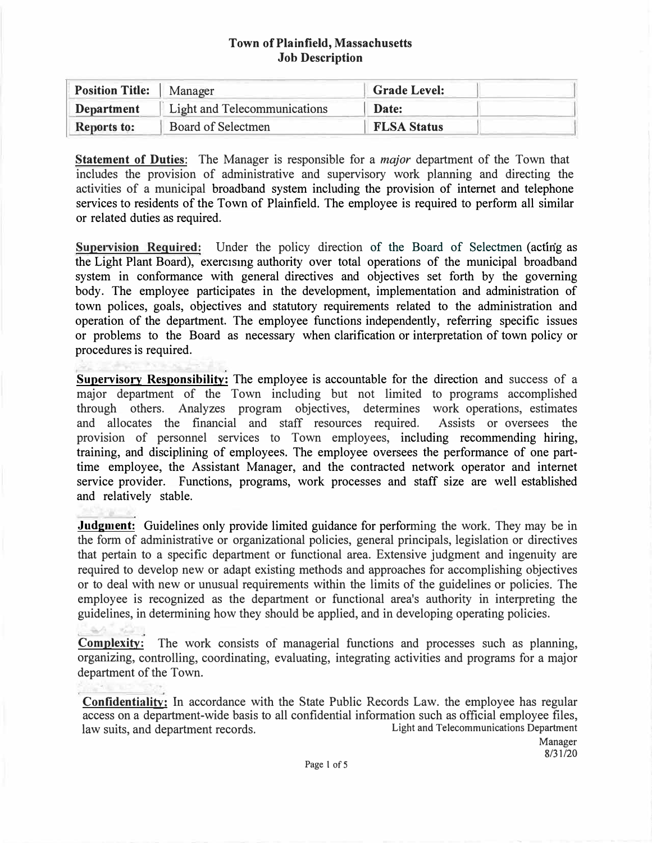### **Town ofPlainfield, Massachusetts Job Description**

| <b>Position Title:</b> | Manager                      | <b>Grade Level:</b> |  |
|------------------------|------------------------------|---------------------|--|
| <b>Department</b>      | Light and Telecommunications | Date:               |  |
| <b>Reports to:</b>     | Board of Selectmen           | <b>FLSA Status</b>  |  |

**Statement of Duties:** The Manager is responsible for a *major* department of the Town that includes the provision of administrative and supervisory work planning and directing the activities of a municipal broadband system including the provision of internet and telephone services to residents of the Town of Plainfield. The employee is required to perform all similar or related duties as required.

**Supervision Required:** Under the policy direction of the Board of Selectmen (acting as the Light Plant Board), exerc1smg authority over total operations of the municipal broadband system in conformance with general directives and objectives set forth by the governing body. The employee participates in the development, implementation and administration of town polices, goals, objectives and statutory requirements related to the administration and operation of the department. The employee functions independently, referring specific issues or problems to the Board as necessary when clarification or interpretation of town policy or procedures is required.

**Supervisory Responsibility:** The employee is accountable for the direction and success of a major department of the Town including but not limited to programs accomplished through others. Analyzes program objectives, determines work operations, estimates and allocates the financial and staff resources required. Assists or oversees the provision of personnel services to Town employees, including recommending hiring, training, and disciplining of employees. The employee oversees the performance of one parttime employee, the Assistant Manager, and the contracted network operator and internet service provider. Functions, programs, work processes and staff size are well established and relatively stable.

**Judgment:** Guidelines only provide limited guidance for performing the work. They may be in the form of administrative or organizational policies, general principals, legislation or directives that pertain to a specific department or functional area. Extensive judgment and ingenuity are required to develop new or adapt existing methods and approaches for accomplishing objectives or to deal with new or unusual requirements within the limits of the guidelines or policies. The employee is recognized as the department or functional area's authority in interpreting the guidelines, in determining how they should be applied, and in developing operating policies.

**Complexity:** The work consists of managerial functions and processes such as planning, organizing, controlling, coordinating, evaluating, integrating activities and programs for a major department of the Town.

**Confidentiality:** In accordance with the State Public Records Law. the employee has regular access on a department-wide basis to all confidential information such as official employee files,<br>law suits and department records law suits, and department records.

Manager 8/31/20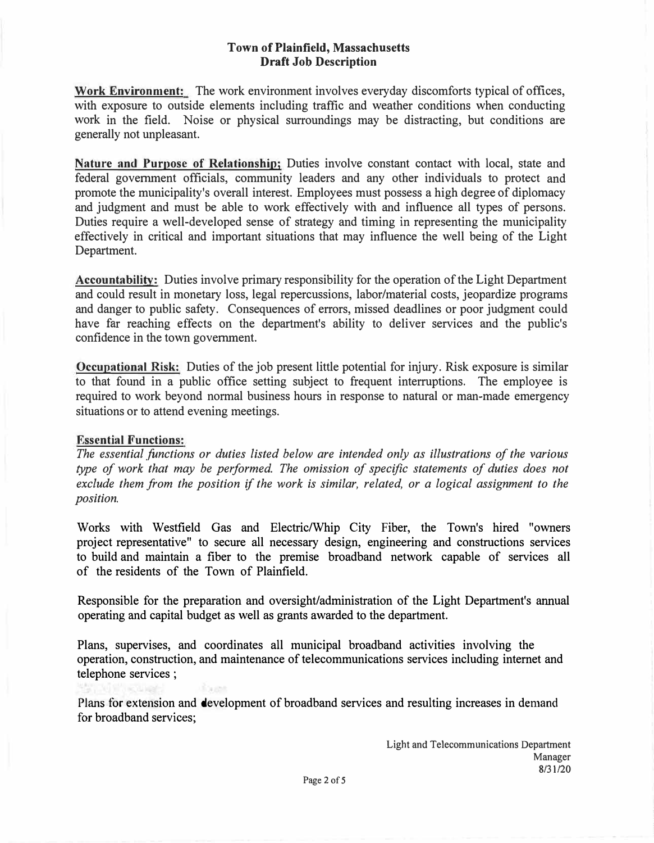# **Town of Plainfield, Massachusetts Draft Job Description**

**Work Environment:** The work environment involves everyday discomforts typical of offices, with exposure to outside elements including traffic and weather conditions when conducting work in the field. Noise or physical surroundings may be distracting, but conditions are generally not unpleasant.

**Nature and Purpose of Relationship;** Duties involve constant contact with local, state and federal government officials, community leaders and any other individuals to protect and promote the municipality's overall interest. Employees must possess a high degree of diplomacy and judgment and must be able to work effectively with and influence all types of persons. Duties require a well-developed sense of strategy and timing in representing the municipality effectively in critical and important situations that may influence the well being of the Light Department.

**Accountability:** Duties involve primary responsibility for the operation of the Light Department and could result in monetary loss, legal repercussions, labor/material costs, jeopardize programs and danger to public safety. Consequences of errors, missed deadlines or poor judgment could have far reaching effects on the department's ability to deliver services and the public's confidence in the town government.

**Occupational Risk:** Duties of the job present little potential for injury. Risk exposure is similar to that found in a public office setting subject to frequent interruptions. The employee is required to work beyond normal business hours in response to natural or man-made emergency situations or to attend evening meetings.

### **Essential Functions:**

The essential functions or duties listed below are intended only as illustrations of the various *type of work that may be performed. The omission of specific statements of duties does not exclude them from the position if the work is similar, related, or a logical assignment to the position.* 

Works with Westfield Gas and Electric/Whip City Fiber, the Town's hired "owners project representative" to secure all necessary design, engineering and constructions services to build and maintain a fiber to the premise broadband network capable of services all of the residents of the Town of Plainfield.

Responsible for the preparation and oversight/administration of the Light Department's annual operating and capital budget as well as grants awarded to the department.

Plans, supervises, and coordinates all municipal broadband activities involving the operation, construction, and maintenance of telecommunications services including internet and telephone services ;

*Plans* for extension and development of broadband services and resulting increases in demand for broadband services;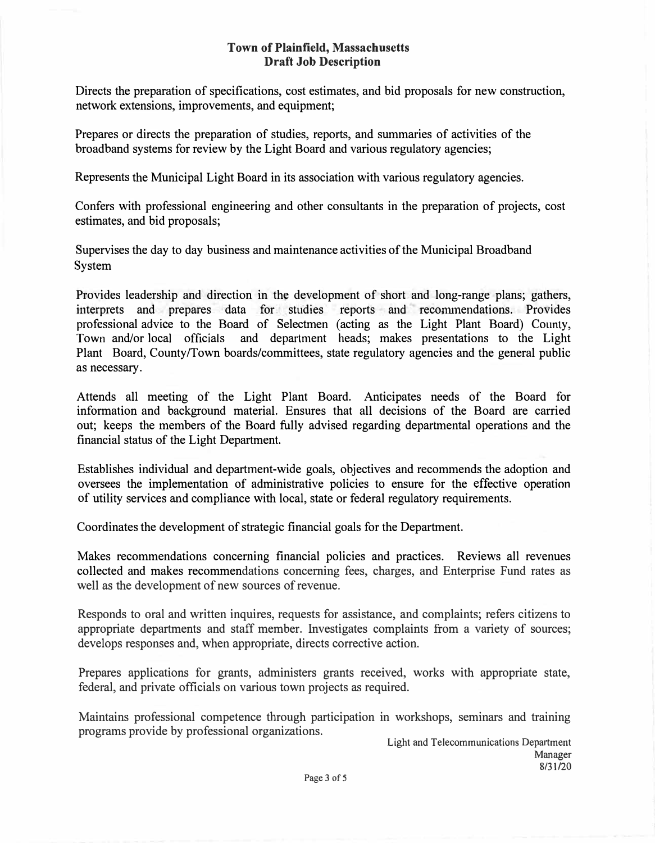### **Town of Plainfield, Massachusetts Draft Job Description**

Directs the preparation of specifications, cost estimates, and bid proposals for new construction, network extensions, improvements, and equipment;

Prepares or directs the preparation of studies, reports, and summaries of activities of the broadband systems for review by the Light Board and various regulatory agencies;

Represents the Municipal Light Board in its association with various regulatory agencies.

Confers with professional engineering and other consultants in the preparation of projects, cost estimates, and bid proposals;

Supervises the day to day business and maintenance activities of the Municipal Broadband System

Provides leadership and direction in the development of short and long-range plans; gathers, interprets and prepares data for studies reports and recommendations. Provides professional advice to the Board of Selectmen (acting as the Light Plant Board) County, Town and/or local officials and department heads; makes presentations to the Light Plant Board, County/Town boards/committees, state regulatory agencies and the general public as necessary.

Attends all meeting of the Light Plant Board. Anticipates needs of the Board for information and background material. Ensures that all decisions of the Board are carried out; keeps the members of the Board fully advised regarding departmental operations and the financial status of the Light Department.

Establishes individual and department-wide goals, objectives and recommends the adoption and oversees the implementation of administrative policies to ensure for the effective operation of utility services and compliance with local, state or federal regulatory requirements.

Coordinates the development of strategic financial goals for the Department.

Makes recommendations concerning financial policies and practices. Reviews all revenues collected and makes recommendations concerning fees, charges, and Enterprise Fund rates as well as the development of new sources of revenue.

Responds to oral and written inquires, requests for assistance, and complaints; refers citizens to appropriate departments and staff member. Investigates complaints from a variety of sources; develops responses and, when appropriate, directs corrective action.

Prepares applications for grants, administers grants received, works with appropriate state, federal, and private officials on various town projects as required.

Maintains professional competence through participation in workshops, seminars and training programs provide by professional organizations.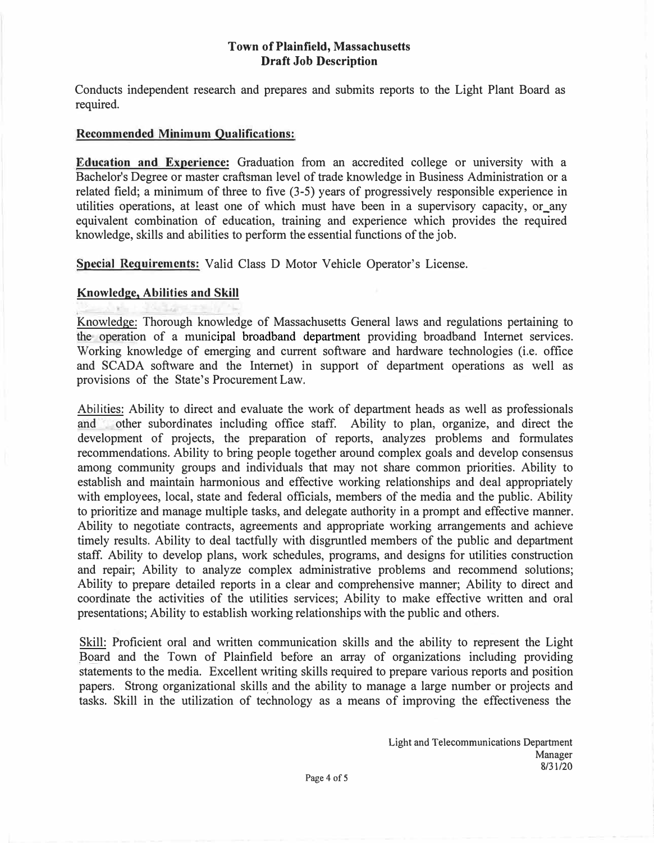### **Town of Plainfield, Massachusetts Draft Job Description**

Conducts independent research and prepares and submits reports to the Light Plant Board as required.

#### **Recommended Minimum Qualifications:**

**Education and Experience:** Graduation from an accredited college or university with a Bachelor's Degree or master craftsman level of trade knowledge in Business Administration or a related field; a minimum of three to five (3-5) years of progressively responsible experience in utilities operations, at least one of which must have been in a supervisory capacity, or\_any equivalent combination of education, training and experience which provides the required knowledge, skills and abilities to perform the essential functions of the job.

Special Requirements: Valid Class D Motor Vehicle Operator's License.

#### **Knowledge, Abilities and Skill**

Knowledge: Thorough knowledge of Massachusetts General laws and regulations pertaining to the operation of a municipal broadband department providing broadband Internet services. Working knowledge of emerging and current software and hardware technologies (i.e. office and SCADA software and the Internet) in support of department operations as well as provisions of the State's Procurement Law.

Abilities: Ability to direct and evaluate the work of department heads as well as professionals and other subordinates including office staff. Ability to plan, organize, and direct the development of projects, the preparation of reports, analyzes problems and formulates recommendations. Ability to bring people together around complex goals and develop consensus among community groups and individuals that may not share common priorities. Ability to establish and maintain harmonious and effective working relationships and deal appropriately with employees, local, state and federal officials, members of the media and the public. Ability to prioritize and manage multiple tasks, and delegate authority in a prompt and effective manner. Ability to negotiate contracts, agreements and appropriate working arrangements and achieve timely results. Ability to deal tactfully with disgruntled members of the public and department staff. Ability to develop plans, work schedules, programs, and designs for utilities construction and repair; Ability to analyze complex administrative problems and recommend solutions; Ability to prepare detailed reports in a clear and comprehensive manner; Ability to direct and coordinate the activities of the utilities services; Ability to make effective written and oral presentations; Ability to establish working relationships with the public and others.

Skill: Proficient oral and written communication skills and the ability to represent the Light Board and the Town of Plainfield before an array of organizations including providing statements to the media. Excellent writing skills required to prepare various reports and position papers. Strong organizational skills and the ability to manage a large number or projects and tasks. Skill in the utilization of technology as a means of improving the effectiveness the